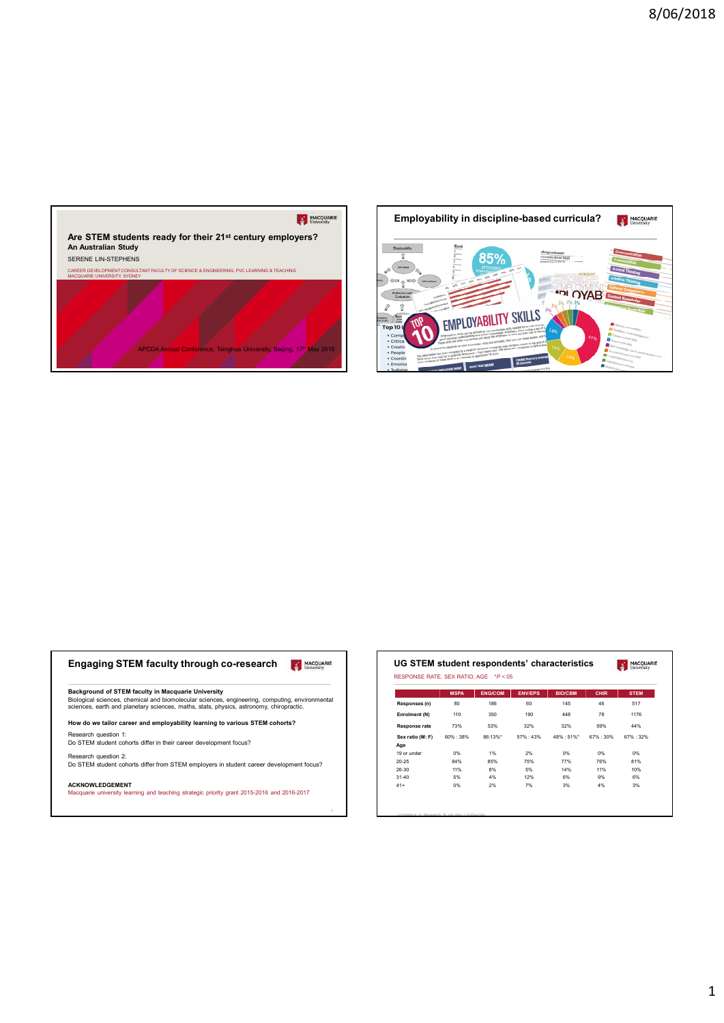



| Engaging STEM faculty through co-research<br><b>MACQUARIE</b><br>University                                                                                                               | UG STEM student respondents' of<br>RESPONSE RATE, SEX RATIO, AGE *P <.05 |             |                |              |
|-------------------------------------------------------------------------------------------------------------------------------------------------------------------------------------------|--------------------------------------------------------------------------|-------------|----------------|--------------|
| Background of STEM faculty in Macquarie University                                                                                                                                        |                                                                          | <b>MSPA</b> | <b>ENG/COM</b> | <b>ENV/E</b> |
| Biological sciences, chemical and biomolecular sciences, engineering, computing, environmental<br>sciences, earth and planetary sciences, maths, stats, physics, astronomy, chiropractic. | Responses (n)                                                            | 80          | 186            | 60           |
|                                                                                                                                                                                           | Enrolment (N)                                                            | 110         | 350            | 190          |
| How do we tailor career and employability learning to various STEM cohorts?                                                                                                               | Response rate                                                            | 73%         | 53%            | 32%          |
| Research question 1:                                                                                                                                                                      | Sex ratio (M: F)                                                         | 60%: 38%    | 86:13%*        | 57% : 4      |
| Do STEM student cohorts differ in their career development focus?                                                                                                                         | Age                                                                      |             |                |              |
| Research question 2:                                                                                                                                                                      | 19 or under                                                              | 0%          | <b>1%</b>      | 2%           |
|                                                                                                                                                                                           |                                                                          |             |                |              |

| MACQUARIE                                                                                                                                                                                         | UG STEM student respondents' characteristics |             |                |           |                |             | MACQUARIE   |
|---------------------------------------------------------------------------------------------------------------------------------------------------------------------------------------------------|----------------------------------------------|-------------|----------------|-----------|----------------|-------------|-------------|
|                                                                                                                                                                                                   | RESPONSE RATE, SEX RATIO, AGE *P <.05        |             |                |           |                |             |             |
|                                                                                                                                                                                                   |                                              | <b>MSPA</b> | <b>ENG/COM</b> | ENV/EPS   | <b>BIO/CBM</b> | <b>CHIR</b> | <b>STEM</b> |
| Engaging STEM faculty through co-research<br>Background of STEM faculty in Macquarie University<br>Biological sciences, chemical and biomolecular sciences, engineering, computing, environmental | Responses (n)                                | 80          | 186            | 60        | 145            | 46          | 517         |
| sciences, earth and planetary sciences, maths, stats, physics, astronomy, chiropractic.                                                                                                           | Enrolment (N)                                | 110         | 350            | 190       | 448            | 78          | 1176        |
| How do we tailor career and employability learning to various STEM cohorts?                                                                                                                       | Response rate                                | 73%         | 53%            | 32%       | 32%            | 59%         | 44%         |
| Research question 1:                                                                                                                                                                              | Sex ratio (M: F)                             | 60%:38%     | 86:13%*        | 57% : 43% | 48% : 51%*     | 67%:30%     | 67%: 32%    |
| Do STEM student cohorts differ in their career development focus?                                                                                                                                 | Age                                          |             |                |           |                |             |             |
| Research question 2:                                                                                                                                                                              | 19 or under<br>20-25                         | 0%<br>84%   | 1%<br>85%      | 2%<br>75% | 0%<br>77%      | 0%<br>76%   | 0%<br>81%   |
| Do STEM student cohorts differ from STEM employers in student career development focus?                                                                                                           | 26-30                                        | 11%         | 8%             | 5%        | 14%            | 11%         | 10%         |
|                                                                                                                                                                                                   | $31 - 40$                                    | 5%          | 4%             | 12%       | 6%             | 9%          | 6%          |
| <b>ACKNOWLEDGEMENT</b><br>Macquarie university learning and teaching strategic priority grant 2015-2016 and 2016-2017                                                                             | $41+$                                        | 0%          | 2%             | 7%        | 3%             | 4%          | 3%          |
|                                                                                                                                                                                                   |                                              |             |                |           |                |             |             |
|                                                                                                                                                                                                   |                                              |             |                |           |                |             |             |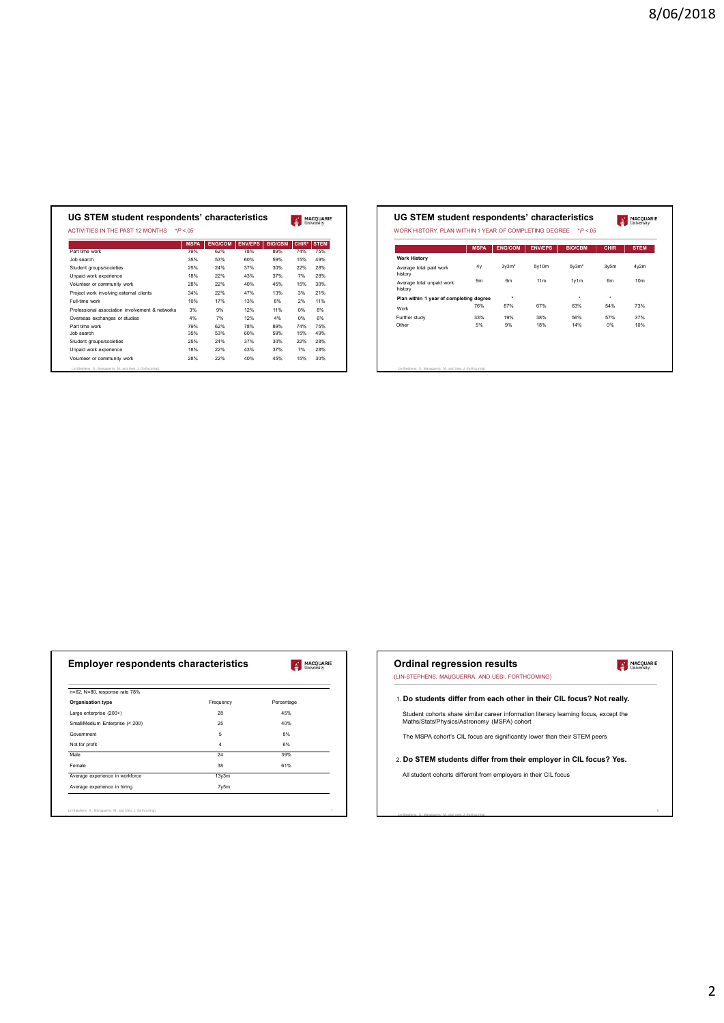|                                                 | <b>MSPA</b> | <b>ENG/COM</b> | <b>ENV/EPS</b> | <b>BIO/CBM</b> | <b>CHIR*</b> | <b>STEM</b> |
|-------------------------------------------------|-------------|----------------|----------------|----------------|--------------|-------------|
| Part time work                                  | 79%         | 62%            | 78%            | 89%            | <b>74%</b>   | <b>75%</b>  |
| Job search                                      | 35%         | 53%            | 60%            | 59%            | 15%          | 49%         |
| Student groups/societies                        | 25%         | 24%            | 37%            | 30%            | 22%          | 28%         |
| Unpaid work experience                          | 18%         | 22%            | 43%            | 37%            | 7%           | 28%         |
| Volunteer or community work                     | 28%         | 22%            | 40%            | 45%            | 15%          | 30%         |
| Project work involving external clients         | 34%         | 22%            | 47%            | 13%            | 3%           | 21%         |
| Full-time work                                  | 10%         | 17%            | 13%            | 8%             | 2%           | 11%         |
| Professional association involvement & networks | 3%          | 9%             | 12%            | 11%            | 0%           | 8%          |
| Overseas exchanges or studies                   | 4%          | 7%             | 12%            | 4%             | 0%           | 6%          |
| Part time work                                  | 79%         | 62%            | 78%            | 89%            | 74%          | 75%         |
| Job search                                      | 35%         | 53%            | 60%            | 59%            | 15%          | 49%         |
| Student groups/societies                        | 25%         | 24%            | 37%            | 30%            | 22%          | 28%         |
| Unpaid work experience                          | 18%         | 22%            | 43%            | 37%            | 7%           | 28%         |
| Volunteer or community work                     | 28%         | 22%            | 40%            | 45%            | 15%          | 30%         |

| UG STEM student respondents' characteristics<br>MACQUARIE<br>MACQUARIE<br>WORK HISTORY, PLAN WITHIN 1 YEAR OF COMPLETING DEGREE *P<.05                                               | UG STEM student respondents' characteristics<br>ACTIVITIES IN THE PAST 12 MONTHS *P <.05<br>MSPA ENG/COM ENV/EPS BIO/CBM CHIR* STEM<br>MSPA ENG/COM ENV/EPS<br>BIO/CBM CHIR STEM                       | 74%<br>75%<br>Part time work<br>79%<br>78%<br>89%<br>62%<br><b>Work History</b><br>35%<br>53%<br>60%<br>59%<br>15% 49%<br>3y3m*<br>5y10m<br>4y2m | 5y3m*<br>3y5m<br>4y<br>28%<br>25%<br>24%<br>37%<br>30%<br>22%<br>Average total paid work<br>history<br>18%<br>22%<br>43%<br>37%<br>7%<br>28% | 9m<br>6m<br>11m<br>1y1m<br>6m<br>10 <sub>m</sub><br>Average total unpaid work<br>28%<br>22%<br>40%<br>45%<br>15%<br>30% |  |
|--------------------------------------------------------------------------------------------------------------------------------------------------------------------------------------|--------------------------------------------------------------------------------------------------------------------------------------------------------------------------------------------------------|--------------------------------------------------------------------------------------------------------------------------------------------------|----------------------------------------------------------------------------------------------------------------------------------------------|-------------------------------------------------------------------------------------------------------------------------|--|
|                                                                                                                                                                                      |                                                                                                                                                                                                        |                                                                                                                                                  |                                                                                                                                              |                                                                                                                         |  |
|                                                                                                                                                                                      |                                                                                                                                                                                                        |                                                                                                                                                  |                                                                                                                                              |                                                                                                                         |  |
| history<br>34%<br>22%<br>47%<br>13%<br>3%<br>21%<br>$\rightarrow$<br>$\sim$<br>$\rightarrow$                                                                                         |                                                                                                                                                                                                        |                                                                                                                                                  |                                                                                                                                              |                                                                                                                         |  |
| Plan within 1 year of completing degree<br>10%<br>17%<br>13%<br>11%<br>8%<br>2%<br>87%<br>76%<br>67%<br>63%<br>54%<br>73%                                                            |                                                                                                                                                                                                        |                                                                                                                                                  |                                                                                                                                              |                                                                                                                         |  |
| Job search<br>Student groups/societies<br>Work<br>8%<br>3%<br>9%<br>12%<br>11%<br>0%<br>33%<br>19%<br>38%<br>56%<br>57%<br>37%<br>4%<br>7%<br>12%<br>4%<br>0%<br>6%<br>Further study | Unpaid work experience<br>Volunteer or community work<br>Project work involving external clients<br>Full-time work<br>Professional association involvement & networks<br>Overseas exchanges or studies |                                                                                                                                                  |                                                                                                                                              |                                                                                                                         |  |
| 5%<br>$0\%$<br>10%<br>Other<br>9%<br>18%<br>14%<br>79%<br>62%<br>78%<br>89%<br>74%<br>75%                                                                                            | Part time work                                                                                                                                                                                         |                                                                                                                                                  |                                                                                                                                              |                                                                                                                         |  |
| 35%<br>53%<br>60%<br>59%<br>15%<br>49%                                                                                                                                               | Job search                                                                                                                                                                                             |                                                                                                                                                  |                                                                                                                                              |                                                                                                                         |  |
| 25%<br>24%<br>37%<br>22%<br>28%<br>30%                                                                                                                                               | Student groups/societies                                                                                                                                                                               |                                                                                                                                                  |                                                                                                                                              |                                                                                                                         |  |
| 18%<br>Unpaid work experience<br>22%<br>43%<br>37%<br>7%<br>28%<br>28%<br>22%<br>40%<br>Volunteer or community work<br>45%<br>15% 30%                                                |                                                                                                                                                                                                        |                                                                                                                                                  |                                                                                                                                              |                                                                                                                         |  |

|                                                                                                                                                                                                                                       |                | <b>MACQUARIE</b><br>University | <b>Ordinal regression results</b><br>(LIN-STEPHENS, MAUGUERRA, AND UESI, FORTHCOMING) |
|---------------------------------------------------------------------------------------------------------------------------------------------------------------------------------------------------------------------------------------|----------------|--------------------------------|---------------------------------------------------------------------------------------|
| <b>Employer respondents characteristics</b>                                                                                                                                                                                           |                |                                |                                                                                       |
|                                                                                                                                                                                                                                       | Frequency      | Percentage                     | 1. Do students differ from each other in their CIL focus? Not re                      |
|                                                                                                                                                                                                                                       | 28             | 45%                            | Student cohorts share similar career information literacy learning focus, excep       |
|                                                                                                                                                                                                                                       | 25             | 40%                            | Maths/Stats/Physics/Astronomy (MSPA) cohort                                           |
|                                                                                                                                                                                                                                       | 5              | 8%                             |                                                                                       |
|                                                                                                                                                                                                                                       | $\overline{4}$ | 6%                             | The MSPA cohort's CIL focus are significantly lower than their STEM peers             |
|                                                                                                                                                                                                                                       | 24             | 39%                            |                                                                                       |
|                                                                                                                                                                                                                                       | 38             | 61%                            | 2. Do STEM students differ from their employer in CIL focus? \                        |
|                                                                                                                                                                                                                                       | 13y3m          |                                | All student cohorts different from employers in their CIL focus                       |
| n=62, N=80, response rate 78%<br>Organisation type<br>Large enterprise (200+)<br>Small/Medium Enterprise (< 200)<br>Government<br>Not for profit<br>Male<br>Female<br>Average experience in workforce<br>Average experience in hiring | 7y5m           |                                |                                                                                       |
|                                                                                                                                                                                                                                       |                |                                |                                                                                       |

| <b>Employer respondents characteristics</b>                |                 | MACQUARIE  | <b>Ordinal regression results</b>           |                                                                                      | MACQUARIE |
|------------------------------------------------------------|-----------------|------------|---------------------------------------------|--------------------------------------------------------------------------------------|-----------|
|                                                            |                 |            |                                             | (LIN-STEPHENS, MAUGUERRA, AND UESI, FORTHCOMING)                                     |           |
| n=62, N=80, response rate 78%                              |                 |            |                                             | 1. Do students differ from each other in their CIL focus? Not really.                |           |
| Organisation type                                          | Frequency       | Percentage |                                             |                                                                                      |           |
| Large enterprise (200+)<br>Small/Medium Enterprise (< 200) | 28<br>25        | 45%<br>40% | Maths/Stats/Physics/Astronomy (MSPA) cohort | Student cohorts share similar career information literacy learning focus, except the |           |
| Government                                                 | 5               | 8%         |                                             |                                                                                      |           |
| Not for profit                                             | $\overline{4}$  | 6%         |                                             | The MSPA cohort's CIL focus are significantly lower than their STEM peers            |           |
|                                                            | $\overline{24}$ | 39%        |                                             |                                                                                      |           |
|                                                            | 38              | 61%        |                                             | 2. Do STEM students differ from their employer in CIL focus? Yes.                    |           |
| Average experience in workforce                            | 13y3m           |            |                                             | All student cohorts different from employers in their CIL focus                      |           |
|                                                            | 7y5m            |            |                                             |                                                                                      |           |
| Average experience in hiring                               |                 |            |                                             |                                                                                      |           |